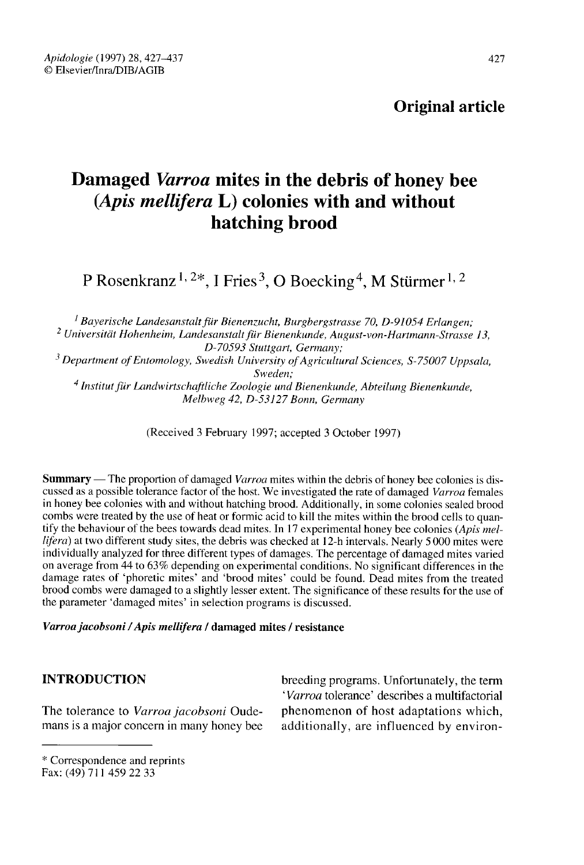# Original article

# Damaged Varroa mites in the debris of honey bee (Apis mellifera L) colonies with and without hatching brood Pamaged *Varroa* mites in the debris of honey<br>(*Apis mellifera* **L**) colonies with and withou<br>hatching brood<br>P Rosenkranz<sup>1, 2\*</sup>, I Fries<sup>3</sup>, O Boecking<sup>4</sup>, M Stürmer

<sup>1</sup> Bayerische Landesanstalt für Bienenzucht, Burgbergstrasse 70, D-91054 Erlangen; P Ro<br>  $\frac{1}{2}$  Bayeris<sup>2</sup><br>  $\frac{2}{2}$  Universität Universität Hohenheim, Landesanstalt für Bienenkunde, August-von-Hartmann-Strasse 13,  $\frac{1}{2}$  Bayeriss<sup>2</sup><br>  $\frac{2}{2}$  Universität<br>  $\frac{3}{2}$  Department<br>  $\frac{4}{2}$  Institut D-70593 Stuttgart, Germany;

<sup>3</sup> Department of Entomology, Swedish University of Agricultural Sciences, S-75007 Uppsala, Sweden;

<sup>4</sup> Institut für Landwirtschaftliche Zoologie und Bienenkunde, Abteilung Bienenkunde, Melbweg 42, D-53127 Bonn, Germany

(Received 3 February 1997; accepted 3 October 1997)

Summary — The proportion of damaged *Varroa* mites within the debris of honey bee colonies is discussed as a possible tolerance factor of the host. We investigated the rate of damaged Varroa females in honey bee colonies with and without hatching brood. Additionally, in some colonies sealed brood combs were treated by the use of heat or formic acid to kill the mites within the brood cells to quantify the behaviour of the bees towards dead mites. In 17 experimental honey bee colonies (Apis mellifera) at two different study sites, the debris was checked at 12-h intervals. Nearly 5 000 mites were individually analyzed for three different types of damages. The percentage of damaged mites varied on average from 44 to 63% depending on experimental conditions. No significant differences in the damage rates of 'phoretic mites' and 'brood mites' could be found. Dead mites from the treated brood combs were damaged to a slightly lesser extent. The significance of these results for the use of the parameter 'damaged mites' in selection programs is discussed.

#### Varroa jacobsoni / Apis mellifera / damaged mites / resistance

# INTRODUCTION

The tolerance to Varroa jacobsoni Oudemans is a major concern in many honey bee breeding programs. Unfortunately, the term 'Varroa tolerance' describes a multifactorial phenomenon of host adaptations which, additionally, are influenced by environ-

<sup>\*</sup> Correspondence and reprints Fax: (49) 711 459 22 33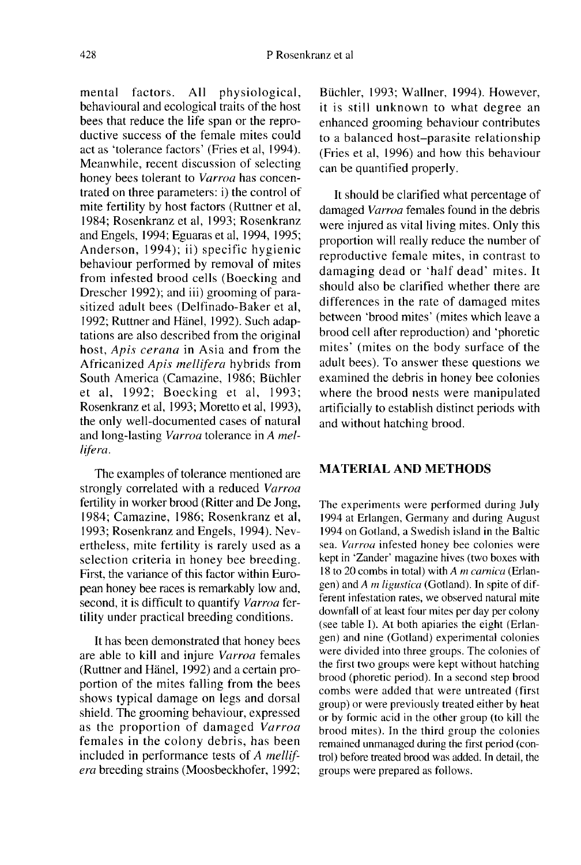mental factors. All physiological, behavioural and ecological traits of the host bees that reduce the life span or the reproductive success of the female mites could act as 'tolerance factors' (Fries et al, 1994). Meanwhile, recent discussion of selecting honey bees tolerant to Varroa has concentrated on three parameters: i) the control of mite fertility by host factors (Ruttner et al, 1984; Rosenkranz et al, 1993; Rosenkranz and Engels, 1994; Eguaras et al, 1994, 1995; Anderson, 1994); ii) specific hygienic behaviour performed by removal of mites from infested brood cells (Boecking and Drescher 1992); and iii) grooming of parasitized adult bees (Delfinado-Baker et al, 1992; Ruttner and Hänel, 1992). Such adaptations are also described from the original host, Apis cerana in Asia and from the Africanized Apis mellifera hybrids from South America (Camazine, 1986; Büchler et al, 1992; Boecking et al, 1993; Rosenkranz et al, 1993; Moretto et al, 1993), the only well-documented cases of natural and long-lasting Varroa tolerance in A mellifera.

The examples of tolerance mentioned are strongly correlated with a reduced Varroa fertility in worker brood (Ritter and De Jong, 1984; Camazine, 1986; Rosenkranz et al, 1993; Rosenkranz and Engels, 1994). Nevertheless, mite fertility is rarely used as a selection criteria in honey bee breeding. First, the variance of this factor within European honey bee races is remarkably low and, second, it is difficult to quantify Varroa fertility under practical breeding conditions.

It has been demonstrated that honey bees are able to kill and injure Varroa females (Ruttner and Hänel, 1992) and a certain proportion of the mites falling from the bees shows typical damage on legs and dorsal shield. The grooming behaviour, expressed as the proportion of damaged Varroa females in the colony debris, has been included in performance tests of A mellif era breeding strains (Moosbeckhofer, 1992;

Büchler, 1993; Wallner, 1994). However, it is still unknown to what degree an enhanced grooming behaviour contributes to a balanced host-parasite relationship (Fries et al, 1996) and how this behaviour can be quantified properly.

It should be clarified what percentage of damaged Varroa females found in the debris were injured as vital living mites. Only this proportion will really reduce the number of reproductive female mites, in contrast to damaging dead or 'half dead' mites. It should also be clarified whether there are differences in the rate of damaged mites between 'brood mites' (mites which leave a brood cell after reproduction) and 'phoretic mites' (mites on the body surface of the adult bees). To answer these questions we examined the debris in honey bee colonies where the brood nests were manipulated artificially to establish distinct periods with and without hatching brood.

# MATERIAL AND METHODS

The experiments were performed during July 1994 at Erlangen, Germany and during August 1994 on Gotland, a Swedish island in the Baltic sea. Varroa infested honey bee colonies were kept in 'Zander' magazine hives (two boxes with 18 to 20 combs in total) with A m carnica (Erlangen) and A m ligustica (Gotland). In spite of different infestation rates, we observed natural mite downfall of at least four mites per day per colony (see table I). At both apiaries the eight (Erlangen) and nine (Gotland) experimental colonies were divided into three groups. The colonies of the first two groups were kept without hatching brood (phoretic period). In a second step brood combs were added that were untreated (first group) or were previously treated either by heat or by formic acid in the other group (to kill the brood mites). In the third group the colonies remained unmanaged during the first period (control) before treated brood was added. In detail, the groups were prepared as follows.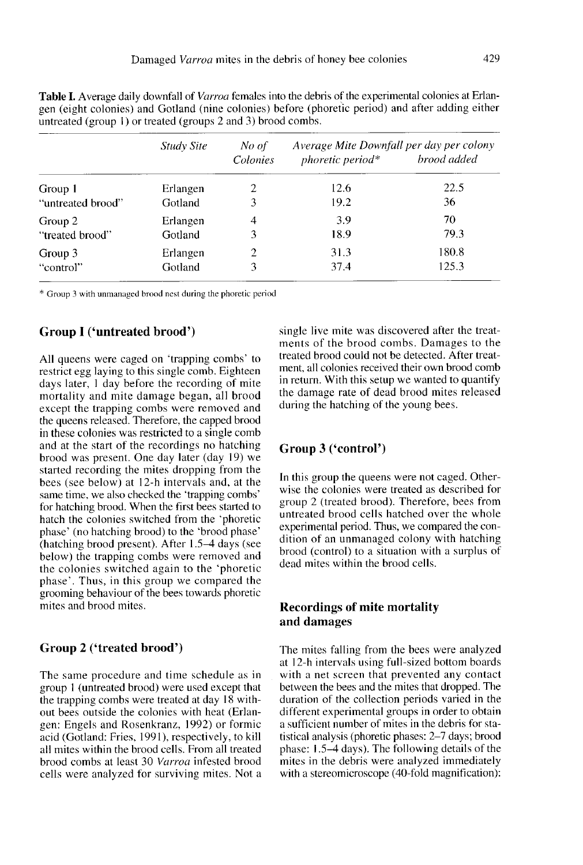|                   | <b>Study Site</b> | No of          | Average Mite Downfall per day per colony |             |  |
|-------------------|-------------------|----------------|------------------------------------------|-------------|--|
|                   |                   | Colonies       | phoretic period*                         | brood added |  |
| Group 1           | Erlangen          | 2              | 12.6                                     | 22.5        |  |
| "untreated brood" | Gotland           | 3              | 19.2                                     | 36          |  |
| Group 2           | Erlangen          | $\overline{4}$ | 3.9                                      | 70          |  |
| "treated brood"   | Gotland           | 3              | 18.9                                     | 79.3        |  |
| Group 3           | Erlangen          | 2              | 31.3                                     | 180.8       |  |
| "control"         | Gotland           |                | 37.4                                     | 125.3       |  |

Table I. Average daily downfall of *Varroa* females into the debris of the experimental colonies at Erlangen (eight colonies) and Gotland (nine colonies) before (phoretic period) and after adding either untreated (group 1) or treated (groups 2 and 3) brood combs.

\* Group 3 with unmanaged brood nest during the phoretic period

## Group I ('untreated brood')

All queens were caged on 'trapping combs' to restrict egg laying to this single comb. Eighteen days later, I day before the recording of mite mortality and mite damage began, all brood except the trapping combs were removed and the queens released. Therefore, the capped brood in these colonies was restricted to a single comb and at the start of the recordings no hatching brood was present. One day later (day 19) we started recording the mites dropping from the bees (see below) at 12-h intervals and, at the same time, we also checked the 'trapping combs' for hatching brood. When the first bees started to hatch the colonies switched from the 'phoretic phase' (no hatching brood) to the 'brood phase' (hatching brood present). After 1.5-4 days (see below) the trapping combs were removed and the colonies switched again to the 'phoretic phase'. Thus, in this group we compared the grooming behaviour of the bees towards phoretic mites and brood mites.

### Group 2 ('treated brood')

The same procedure and time schedule as in group 1 (untreated brood) were used except that the trapping combs were treated at day 18 without bees outside the colonies with heat (Erlangen: Engels and Rosenkranz, 1992) or formic acid (Gotland: Fries, 1991), respectively, to kill all mites within the brood cells. From all treated brood combs at least 30 Varroa infested brood cells were analyzed for surviving mites. Not a single live mite was discovered after the treatments of the brood combs. Damages to the treated brood could not be detected. After treatment, all colonies received their own brood comb in return. With this setup we wanted to quantify the damage rate of dead brood mites released during the hatching of the young bees.

#### Group 3 ('control')

In this group the queens were not caged. Otherwise the colonies were treated as described for group 2 (treated brood). Therefore, bees from untreated brood cells hatched over the whole experimental period. Thus, we compared the condition of an unmanaged colony with hatching brood (control) to a situation with a surplus of dead mites within the brood cells.

# Recordings of mite mortality and damages

The mites falling from the bees were analyzed at 12-h intervals using full-sized bottom boards with a net screen that prevented any contact between the bees and the mites that dropped. The duration of the collection periods varied in the different experimental groups in order to obtain a sufficient number of mites in the debris for statistical analysis (phoretic phases: 2-7 days; brood phase: 1.5-4 days). The following details of the mites in the debris were analyzed immediately with a stereomicroscope (40-fold magnification):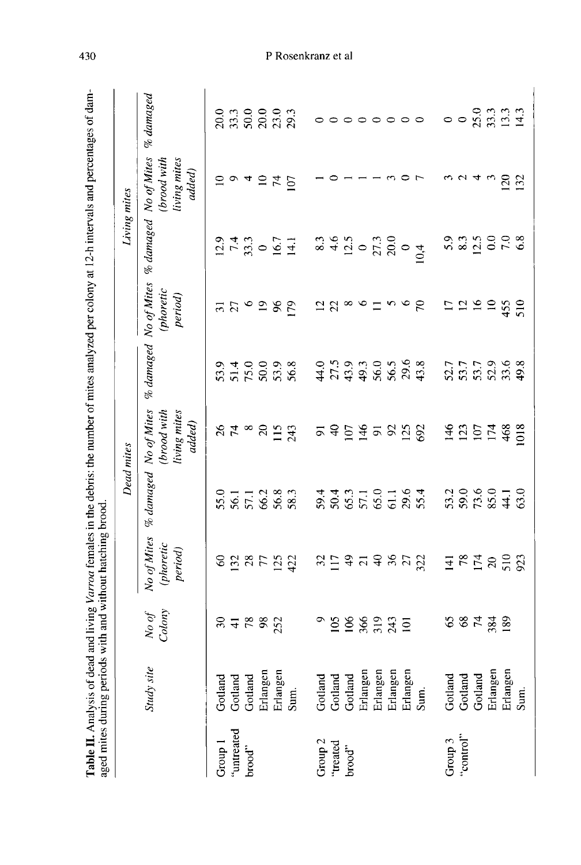|                    |                    |                            |                                                                                                   | <b>Dead</b> mites                    |                                       |                            |                                     |                                                                                                                                      | Living mites                                                   |                                   |
|--------------------|--------------------|----------------------------|---------------------------------------------------------------------------------------------------|--------------------------------------|---------------------------------------|----------------------------|-------------------------------------|--------------------------------------------------------------------------------------------------------------------------------------|----------------------------------------------------------------|-----------------------------------|
|                    | Study site         | Colony<br>$N$ o $\sigma$ f | No of Mites<br>(phoretic<br>period                                                                | % damaged No of Mites                | (brood with<br>living mites<br>added) | $%$ damaged                | No of Mites<br>(phoretic<br>period) |                                                                                                                                      | % damaged No of Mites<br>living mites<br>(brood with<br>added) | $\%$ damaged                      |
| Group 1            | Gotland            |                            |                                                                                                   | 55.0                                 |                                       | 53.9                       |                                     |                                                                                                                                      | $\supseteq$                                                    |                                   |
| 'untreated         |                    |                            |                                                                                                   |                                      |                                       |                            |                                     |                                                                                                                                      |                                                                |                                   |
| brood"             | Gotland<br>Gotland | 87880                      | 888522                                                                                            | 56.1<br>57.1<br>56.8<br>58.3         | $%7^{\circ}$                          | 51.4<br>75.0               | 7500                                | $\frac{1}{2}$<br>$\frac{1}{4}$<br>$\frac{3}{4}$<br>$\frac{1}{4}$<br>$\frac{1}{4}$<br>$\frac{1}{1}$<br>$\frac{1}{4}$<br>$\frac{1}{1}$ | 040                                                            | 0<br>8 3 9 9 9 9 9<br>8 8 8 8 9 9 |
|                    | Erlangen           |                            |                                                                                                   |                                      | $\Omega$                              | 50.0                       |                                     |                                                                                                                                      |                                                                |                                   |
|                    | Erlangen           |                            |                                                                                                   |                                      |                                       | 53.8                       | 96                                  |                                                                                                                                      | 74                                                             |                                   |
|                    | Sum.               |                            |                                                                                                   |                                      | $115$<br>243                          |                            | 179                                 |                                                                                                                                      | <b>SO</b>                                                      |                                   |
| Group <sub>2</sub> | Gotland            |                            |                                                                                                   |                                      | $\overline{5}$                        | 44.0                       |                                     |                                                                                                                                      |                                                                | $\circ$                           |
| "treated           | Gotland            | 105                        | $\frac{32}{117}$                                                                                  |                                      | $\theta$                              | 27.5                       |                                     |                                                                                                                                      | $\circ$                                                        | $\circ$                           |
| brood"             | Gotland            | 106                        | 979872                                                                                            |                                      | ΙÛ                                    |                            | $28^{\circ}$ $\circ$ $-$            | $8.3$<br>$4.5$<br>$12.5$<br>$20.0$<br>$21.3$                                                                                         |                                                                |                                   |
|                    | Erlangen           |                            |                                                                                                   |                                      | $\frac{3}{146}$                       |                            |                                     |                                                                                                                                      |                                                                |                                   |
|                    | Erlangen           | 88335                      |                                                                                                   |                                      | $\overline{5}$                        | 49.3<br>56.0               |                                     |                                                                                                                                      |                                                                | $\circ \circ \circ \circ \circ$   |
|                    | Erlangen           |                            |                                                                                                   |                                      | <b>925</b>                            | $56.5$<br>29.6             | $\sim$                              |                                                                                                                                      |                                                                |                                   |
|                    | Erlangen           |                            |                                                                                                   |                                      |                                       |                            |                                     |                                                                                                                                      |                                                                |                                   |
|                    | Sum.               |                            |                                                                                                   |                                      |                                       | 43.8                       | $\mathcal{E}$                       | $0\frac{4}{10}$                                                                                                                      |                                                                |                                   |
| Group 3            | Gotland            | 65                         |                                                                                                   |                                      | 146                                   | 52.7                       | $\overline{1}$                      |                                                                                                                                      |                                                                | $\circ$                           |
| "control"          | Gotland            |                            | $\frac{1}{4}$ $\frac{1}{2}$ $\frac{1}{2}$ $\frac{1}{2}$ $\frac{1}{2}$ $\frac{1}{2}$ $\frac{1}{2}$ | $33.2$<br>$73.6$<br>$73.6$<br>$85.0$ | 123                                   | 53.7                       | $\overline{2}$                      |                                                                                                                                      | $\mathbf{\Omega}$                                              | $\circ$                           |
|                    | Gotland            | 8 H 2 8 9                  |                                                                                                   |                                      | 107                                   | $53.7$<br>$52.9$<br>$33.6$ | 16                                  |                                                                                                                                      | 4                                                              | 23.3933                           |
|                    | Erlangen           |                            |                                                                                                   |                                      | 174                                   |                            | $\Xi$                               |                                                                                                                                      |                                                                |                                   |
|                    | Erlangen           |                            |                                                                                                   | 44.1                                 | 468                                   |                            | 455                                 |                                                                                                                                      | $\overline{20}$                                                |                                   |
|                    | Sum.               |                            | 923                                                                                               | 63.0                                 | 1018                                  | 49.8                       | 510                                 | 6.8                                                                                                                                  | 132                                                            |                                   |

430

# P Rosenkranz et al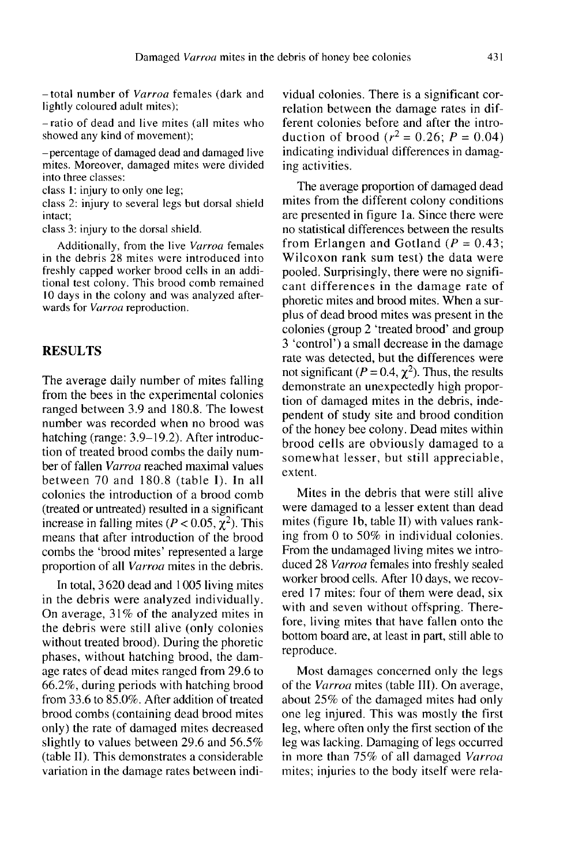— total number of Varroa females (dark and lightly coloured adult mites);

— ratio of dead and live mites (all mites who showed any kind of movement);

— percentage of damaged dead and damaged live mites. Moreover, damaged mites were divided into three classes:

class 1: injury to only one leg;

class 2: injury to several legs but dorsal shield intact;

class 3: injury to the dorsal shield.

Additionally, from the live Varroa females in the debris 28 mites were introduced into freshly capped worker brood cells in an additional test colony. This brood comb remained 10 days in the colony and was analyzed afterwards for Varroa reproduction.

#### RESULTS

The average daily number of mites falling from the bees in the experimental colonies ranged between 3.9 and 180.8. The lowest number was recorded when no brood was hatching (range: 3.9–19.2). After introduction of treated brood combs the daily number of fallen Varroa reached maximal values between 70 and 180.8 (table I). In all colonies the introduction of a brood comb (treated or untreated) resulted in a significant increase in falling mites ( $P < 0.05$ ,  $\chi^2$ ). This means that after introduction of the brood combs the 'brood mites' represented a large proportion of all Varroa mites in the debris.

In total, 3620 dead and 1005 living mites in the debris were analyzed individually. On average, 31% of the analyzed mites in the debris were still alive (only colonies without treated brood). During the phoretic phases, without hatching brood, the damage rates of dead mites ranged from 29.6 to 66.2%, during periods with hatching brood from 33.6 to 85.0%. After addition of treated brood combs (containing dead brood mites only) the rate of damaged mites decreased slightly to values between 29.6 and 56.5% (table II). This demonstrates a considerable variation in the damage rates between individual colonies. There is a significant correlation between the damage rates in different colonies before and after the introduction of brood ( $r^2 = 0.26$ ;  $P = 0.04$ ) indicating individual differences in damaging activities.

The average proportion of damaged dead mites from the different colony conditions are presented in figure la. Since there were no statistical differences between the results from Erlangen and Gotland ( $P = 0.43$ ; Wilcoxon rank sum test) the data were pooled. Surprisingly, there were no signifi cant differences in the damage rate of phoretic mites and brood mites. When a surplus of dead brood mites was present in the colonies (group 2 'treated brood' and group 3 'control') a small decrease in the damage rate was detected, but the differences were not significant ( $P = 0.4$ ,  $\chi^2$ ). Thus, the results demonstrate an unexpectedly high proportion of damaged mites in the debris, independent of study site and brood condition of the honey bee colony. Dead mites within brood cells are obviously damaged to a somewhat lesser, but still appreciable, extent.

Mites in the debris that were still alive were damaged to a lesser extent than dead mites (figure 1b, table II) with values ranking from 0 to 50% in individual colonies. From the undamaged living mites we introduced 28 Varroa females into freshly sealed worker brood cells. After 10 days, we recovered 17 mites: four of them were dead, six with and seven without offspring. Therefore, living mites that have fallen onto the bottom board are, at least in part, still able to reproduce.

Most damages concerned only the legs of the Varroa mites (table III). On average, about 25% of the damaged mites had only one leg injured. This was mostly the first leg, where often only the first section of the leg was lacking. Damaging of legs occurred in more than 75% of all damaged Varroa mites; injuries to the body itself were rela-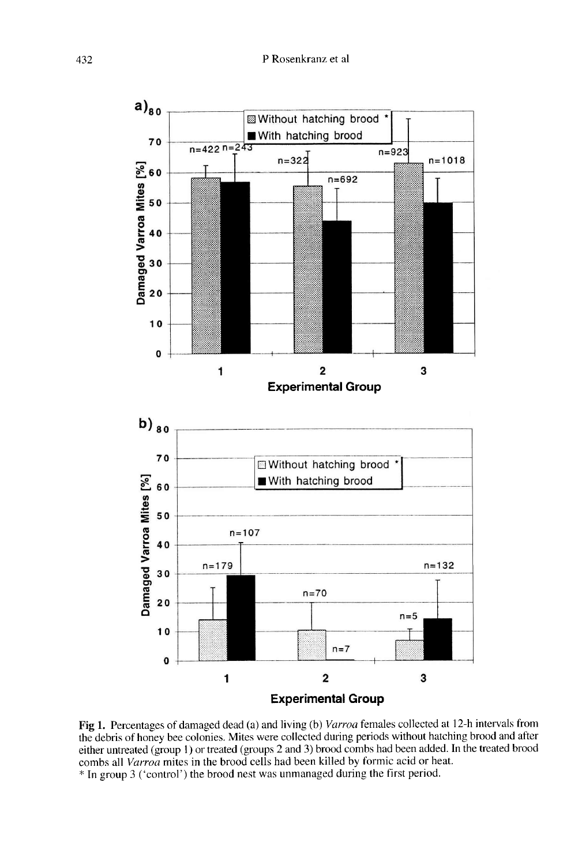

Fig 1. Percentages of damaged dead (a) and living (b) Varroa females collected at 12-h intervals from the debris of honey bee colonies. Mites were collected during periods without hatching brood and after either untreated (group 1) or treated (groups 2 and 3) brood combs had been added. In the treated brood combs all *Varroa* mites in the brood cells had been killed by formic acid or heat.

\* In group 3 ('control') the brood nest was unmanaged during the first period.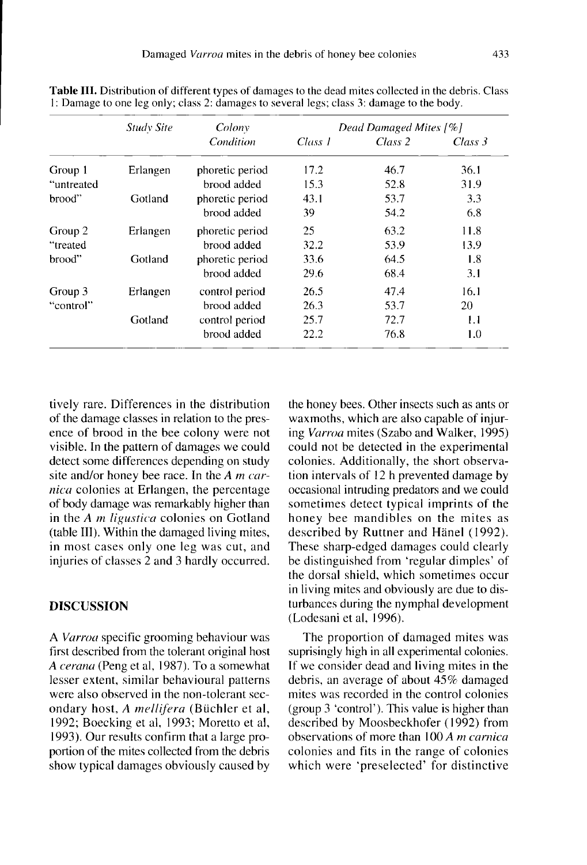|            | <b>Study Site</b> | Colony          | Dead Damaged Mites [%] |         |         |  |
|------------|-------------------|-----------------|------------------------|---------|---------|--|
|            |                   | Condition       | Class 1                | Class 2 | Class 3 |  |
| Group 1    | Erlangen          | phoretic period | 17.2                   | 46.7    | 36.1    |  |
| "untreated |                   | brood added     | 15.3                   | 52.8    | 31.9    |  |
| brood"     | Gotland           | phoretic period | 43.1                   | 53.7    | 3.3     |  |
|            |                   | brood added     | 39                     | 54.2    | 6.8     |  |
| Group 2    | Erlangen          | phoretic period | 25                     | 63.2    | 11.8    |  |
| "treated   |                   | brood added     | 32.2                   | 53.9    | 13.9    |  |
| brood"     | Gotland           | phoretic period | 33.6                   | 64.5    | 1.8     |  |
|            |                   | brood added     | 29.6                   | 68.4    | 3.1     |  |
| Group 3    | Erlangen          | control period  | 26.5                   | 47.4    | 16.1    |  |
| "control"  |                   | brood added     | 26.3                   | 53.7    | 20      |  |
|            | Gotland           | control period  | 25.7                   | 72.7    | 1.1     |  |
|            |                   | brood added     | 22.2                   | 76.8    | 1.0     |  |

Table III. Distribution of different types of damages to the dead mites collected in the debris. Class 1: Damage to one leg only; class 2: damages to several legs; class 3: damage to the body.

tively rare. Differences in the distribution of the damage classes in relation to the presence of brood in the bee colony were not visible. In the pattern of damages we could detect some differences depending on study site and/or honey bee race. In the  $A$  m carnica colonies at Erlangen, the percentage of body damage was remarkably higher than in the A *m* ligustica colonies on Gotland (table III). Within the damaged living mites, in most cases only one leg was cut, and injuries of classes 2 and 3 hardly occurred.

# DISCUSSION

A Varroa specific grooming behaviour was first described from the tolerant original host A cerana (Peng et al, 1987). To a somewhat lesser extent, similar behavioural patterns were also observed in the non-tolerant secondary host, A mellifera (Büchler et al, 1992; Boecking et al, 1993; Moretto et al, 1993). Our results confirm that a large proportion of the mites collected from the debris show typical damages obviously caused by the honey bees. Other insects such as ants or waxmoths, which are also capable of injuring Varroa mites (Szabo and Walker, 1995) could not be detected in the experimental colonies. Additionally, the short observation intervals of 12 h prevented damage by occasional intruding predators and we could sometimes detect typical imprints of the honey bee mandibles on the mites as described by Ruttner and Hänel (1992). These sharp-edged damages could clearly be distinguished from 'regular dimples' of the dorsal shield, which sometimes occur in living mites and obviously are due to disturbances during the nymphal development (Lodesani et al, 1996).

The proportion of damaged mites was suprisingly high in all experimental colonies. If we consider dead and living mites in the debris, an average of about 45% damaged mites was recorded in the control colonies (group 3 'control'). This value is higher than described by Moosbeckhofer (1992) from observations of more than 100 A *m carnica* colonies and fits in the range of colonies which were 'preselected' for distinctive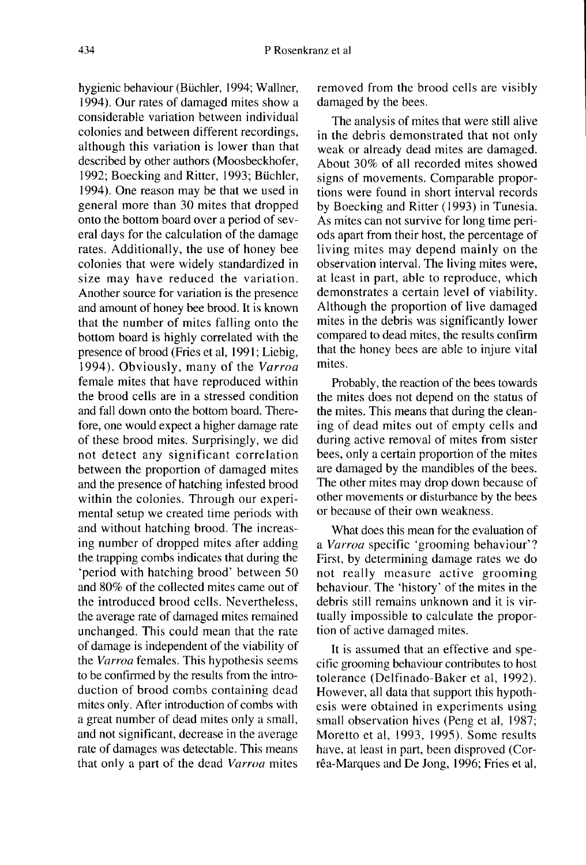hygienic behaviour (Büchler, 1994; Wallner, 1994). Our rates of damaged mites show a considerable variation between individual colonies and between different recordings, although this variation is lower than that described by other authors (Moosbeckhofer, 1992; Boecking and Ritter, 1993; Büchler, 1994). One reason may be that we used in general more than 30 mites that dropped onto the bottom board over a period of several days for the calculation of the damage rates. Additionally, the use of honey bee colonies that were widely standardized in size may have reduced the variation. Another source for variation is the presence and amount of honey bee brood. It is known that the number of mites falling onto the bottom board is highly correlated with the presence of brood (Fries et al, 1991; Liebig, 1994). Obviously, many of the Varroa female mites that have reproduced within the brood cells are in a stressed condition and fall down onto the bottom board. Therefore, one would expect a higher damage rate of these brood mites. Surprisingly, we did not detect any significant correlation between the proportion of damaged mites and the presence of hatching infested brood within the colonies. Through our experimental setup we created time periods with and without hatching brood. The increasing number of dropped mites after adding the trapping combs indicates that during the 'period with hatching brood' between 50 and 80% of the collected mites came out of the introduced brood cells. Nevertheless, the average rate of damaged mites remained unchanged. This could mean that the rate of damage is independent of the viability of the Varroa females. This hypothesis seems to be confirmed by the results from the introduction of brood combs containing dead mites only. After introduction of combs with a great number of dead mites only a small, and not significant, decrease in the average rate of damages was detectable. This means that only a part of the dead Varroa mites

removed from the brood cells are visibly damaged by the bees.

The analysis of mites that were still alive in the debris demonstrated that not only weak or already dead mites are damaged. About 30% of all recorded mites showed signs of movements. Comparable proportions were found in short interval records by Boecking and Ritter ( 1993) in Tunesia. As mites can not survive for long time periods apart from their host, the percentage of living mites may depend mainly on the observation interval. The living mites were, at least in part, able to reproduce, which demonstrates a certain level of viability. Although the proportion of live damaged mites in the debris was significantly lower compared to dead mites, the results confirm that the honey bees are able to injure vital mites.

Probably, the reaction of the bees towards the mites does not depend on the status of the mites. This means that during the cleaning of dead mites out of empty cells and during active removal of mites from sister bees, only a certain proportion of the mites are damaged by the mandibles of the bees. The other mites may drop down because of other movements or disturbance by the bees or because of their own weakness.

What does this mean for the evaluation of a Varroa specific 'grooming behaviour'? First, by determining damage rates we do not really measure active grooming behaviour. The 'history' of the mites in the debris still remains unknown and it is virtually impossible to calculate the proportion of active damaged mites.

It is assumed that an effective and specific grooming behaviour contributes to host tolerance (Delfinado-Baker et al, 1992). However, all data that support this hypothesis were obtained in experiments using small observation hives (Peng et al, 1987; Moretto et al, 1993, 1995). Some results have, at least in part, been disproved (Corrêa-Marques and De Jong, 1996; Fries et al,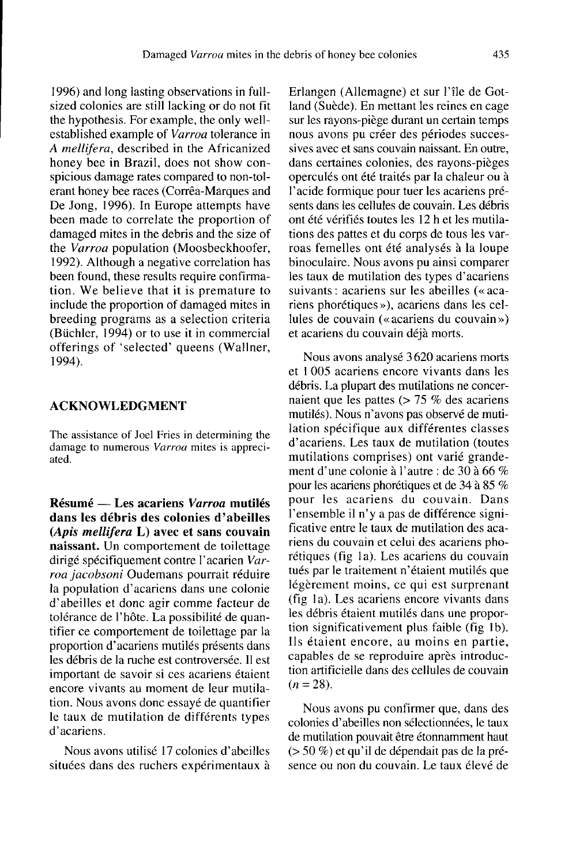1996) and long lasting observations in fullsized colonies are still lacking or do not fit the hypothesis. For example, the only wellestablished example of Varroa tolerance in A mellifera, described in the Africanized honey bee in Brazil, does not show conspicious damage rates compared to non-tolerant honey bee races (Corrêa-Marques and De Jong, 1996). In Europe attempts have been made to correlate the proportion of damaged mites in the debris and the size of the Varroa population (Moosbeckhoofer, 1992). Although a negative correlation has been found, these results require confirmation. We believe that it is premature to include the proportion of damaged mites in breeding programs as a selection criteria (Büchler, 1994) or to use it in commercial offerings of 'selected' queens (Wallner, 1994).

# ACKNOWLEDGMENT

The assistance of Joel Fries in determining the damage to numerous Varroa mites is appreciated.

Résumé — Les acariens Varroa mutilés dans les débris des colonies d'abeilles (Apis mellifera L) avec et sans couvain naissant. Un comportement de toilettage dirigé spécifiquement contre l'acarien Varroa jacobsoni Oudemans pourrait réduire la population d'acariens dans une colonie d'abeilles et donc agir comme facteur de tolérance de l'hôte. La possibilité de quantifier ce comportement de toilettage par la proportion d'acariens mutilés présents dans les débris de la ruche est controversée. Il est important de savoir si ces acariens étaient encore vivants au moment de leur mutilation. Nous avons donc essayé de quantifier le taux de mutilation de différents types d'acariens.

Nous avons utilisé 17 colonies d'abeilles situées dans des ruchers expérimentaux à Erlangen (Allemagne) et sur l'île de Gotland (Suède). En mettant les reines en cage sur les rayons-piège durant un certain temps nous avons pu créer des périodes successives avec et sans couvain naissant. En outre, dans certaines colonies, des rayons-pièges operculés ont été traités par la chaleur ou à l'acide formique pour tuer les acariens pré sents dans les cellules de couvain. Les débris ont été vérifiés toutes les 12 h et les mutilations des pattes et du corps de tous les varroas femelles ont été analysés à la loupe binoculaire. Nous avons pu ainsi comparer les taux de mutilation des types d'acariens suivants : acariens sur les abeilles (« acariens phorétiques »), acariens dans les cellules de couvain (« acariens du couvain ») et acariens du couvain déjà morts.

Nous avons analysé 3 620 acariens morts et 1 005 acariens encore vivants dans les débris. La plupart des mutilations ne concernaient que les pattes (> 75 % des acariens mutilés). Nous n'avons pas observé de mutilation spécifique aux différentes classes d'acariens. Les taux de mutilation (toutes ment d'une colonie à l'autre : de 30 à 66 % pour les acariens phorétiques et de 34 à 85 % pour les acariens du couvain. Dans l'ensemble il n'y a pas de différence significative entre le taux de mutilation des acariens du couvain et celui des acariens phorétiques (fig 1a). Les acariens du couvain tués par le traitement n'étaient mutilés que légèrement moins, ce qui est surprenant (fig 1a). Les acariens encore vivants dans les débris étaient mutilés dans une proportion significativement plus faible (fig 1b). Ils étaient encore, au moins en partie, capables de se reproduire après introduction artificielle dans des cellules de couvain  $(n = 28)$ .

Nous avons pu confirmer que, dans des colonies d'abeilles non sélectionnées, le taux de mutilation pouvait être étonnamment haut (> 50 %) et qu'il de dépendait pas de la pré sence ou non du couvain. Le taux élevé de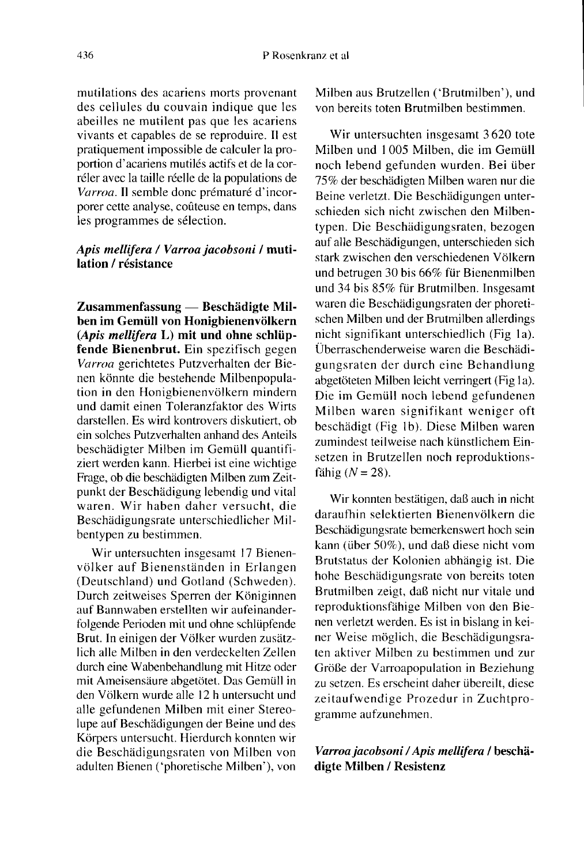mutilations des acariens morts provenant des cellules du couvain indique que les abeilles ne mutilent pas que les acariens vivants et capables de se reproduire. Il est pratiquement impossible de calculer la proportion d'acariens mutilés actifs et de la corréler avec la taille réelle de la populations de Varroa. Il semble donc prématuré d'incorporer cette analyse, coûteuse en temps, dans les programmes de sélection.

# Apis mellifera / Varroa jacobsoni / mutilation / résistance

Zusammenfassung — Beschädigte Milben im Gemüll von Honigbienenvölkern (Apis mellifera L) mit und ohne schlüpfende Bienenbrut. Ein spezifisch gegen Varroa gerichtetes Putzverhalten der Bienen könnte die bestehende Milbenpopulation in den Honigbienenvölkern mindern und damit einen Toleranzfaktor des Wirts darstellen. Es wird kontrovers diskutiert, ob ein solches Putzverhalten anhand des Anteils beschädigter Milben im Gemüll quantifiziert werden kann. Hierbei ist eine wichtige Frage, ob die beschädigten Milben zum Zeitpunkt der Beschädigung lebendig und vital waren. Wir haben daher versucht, die Beschädigungsrate unterschiedlicher Milbentypen zu bestimmen.

Wir untersuchten insgesamt 17 Bienenvölker auf Bienenständen in Erlangen (Deutschland) und Gotland (Schweden). Durch zeitweises Sperren der Königinnen auf Bannwaben erstellten wir aufeinanderfolgende Perioden mit und ohne schlüpfende Brut. In einigen der Völker wurden zusätzlich alle Milben in den verdeckelten Zellen durch eine Wabenbehandlung mit Hitze oder mit Ameisensäure abgetötet. Das Gemüll in den Völkern wurde alle 12 h untersucht und alle gefundenen Milben mit einer Stereolupe auf Beschädigungen der Beine und des Körpers untersucht. Hierdurch konnten wir die Beschädigungsraten von Milben von adulten Bienen ('phoretische Milben'), von Milben aus Brutzellen ('Brutmilben'), und von bereits toten Brutmilben bestimmen.

Wir untersuchten insgesamt 3620 tote Milben und 1 005 Milben, die im Gemüll noch lebend gefunden wurden. Bei über 75% der beschädigten Milben waren nur die Beine verletzt. Die Beschädigungen unterschieden sich nicht zwischen den Milbentypen. Die Beschädigungsraten, bezogen auf alle Beschädigungen, unterschieden sich stark zwischen den verschiedenen Völkern und betrugen 30 bis 66% für Bienenmilben und 34 bis 85% für Brutmilben. Insgesamt waren die Beschädigungsraten der phoretischen Milben und der Brutmilben allerdings nicht signifikant unterschiedlich (Fig 1a). Überraschenderweise waren die Beschädigungsraten der durch eine Behandlung abgetöteten Milben leicht verringert (Fig 1a). Die im Gemüll noch lebend gefundenen Milben waren signifikant weniger oft beschädigt (Fig 1b). Diese Milben waren zumindest teilweise nach künstlichem Einsetzen in Brutzellen noch reproduktionsfähig  $(N = 28)$ .

Wir konnten bestätigen, daß auch in nicht daraufhin selektierten Bienenvölkern die Beschädigungsrate bemerkenswert hoch sein kann (über 50%), und daß diese nicht vom Brutstatus der Kolonien abhängig ist. Die hohe Beschädigungsrate von bereits toten Brutmilben zeigt, daß nicht nur vitale und reproduktionsfähige Milben von den Bienen verletzt werden. Es ist in bislang in keiner Weise möglich, die Beschädigungsra ten aktiver Milben zu bestimmen und zur Größe der Varroapopulation in Beziehung zu setzen. Es erscheint daher übereilt, diese zeitaufwendige Prozedur in Zuchtprogramme aufzunehmen.

# Varroa jacobsoni / Apis mellifera / beschädigte Milben / Resistenz